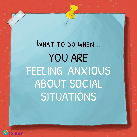# WHAT TO DO WHEN... YOU ARE FEELING ANXIOUS ABOUT SOCIAL SITUATIONS

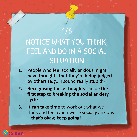### NOTICE WHAT YOU THINK, FEEL AND DO IN A SOCIAL SITUATION

1/6

- 1. People who feel socially anxious might **have thoughts that they're being judged**  by others (e.g., 'I sound really stupid')
- **2. Recognising these thoughts** can be **the first step to breaking the social anxiety cycle**
- **3. It can take time** to work out what we think and feel when we're socially anxious – **that's okay; keep going**!

 $\bullet$ 

CORAY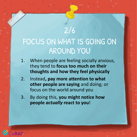### 2/6 FOCUS ON WHAT IS GOING ON AROUND YOU

- 1. When people are feeling socially anxious, they tend to **focus too much on their thoughts and how they feel physically**
- 2. Instead**, pay more attention to what other people are saying** and doing; or focus on the world around you
- 3. By doing this, **you might notice how people** *actually* **react to you**!

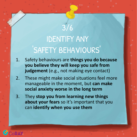## 3/6 IDENTIFY ANY 'SAFETY BEHAVIOURS'

- 1. Safety behaviours are **things you do because you believe they will keep you safe from judgement** (e.g., not making eye contact)
- 2. These might make social situations feel more manageable in the moment, but **can make social anxiety worse in the long term**
- 3. They **stop you from learning new things about your fears** so it's important that you can **identify when you use them**

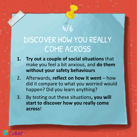## DISCOVER HOW YOU REALLY COME ACROSS

4/6

- **1. Try out a couple of social situations** that make you feel a bit anxious, and **do them without your safety behaviours**
- 2. Afterwards, **reflect on how it went**  how did it compare to what you worried would happen? Did you learn anything?
- 3. By testing out these situations**, you will start to discover how you really come across**!

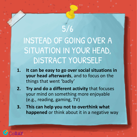## INSTEAD OF GOING OVER A SITUATION IN YOUR HEAD, DISTRACT YOURSELF

5/6

- **1. It can be easy to go over social situations in your head afterwards**, and to focus on the things that went 'badly'
- **2. Try and do a different activity** that focuses your mind on something more enjoyable (e.g., reading, gaming, TV)
- **3. This can help you not to overthink what happened** or think about it in a negative way

CORAY